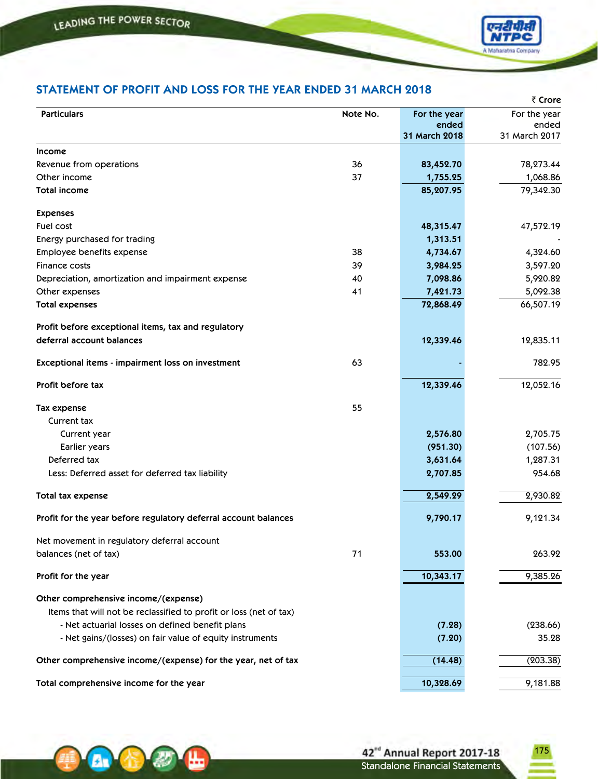A<sub>r</sub>



## **STATEMENT OF PROFIT AND LOSS FOR THE YEAR ENDED 31 MARCH 2018**

|                                                                    |          |               | ₹ Crore       |
|--------------------------------------------------------------------|----------|---------------|---------------|
| <b>Particulars</b>                                                 | Note No. | For the year  | For the year  |
|                                                                    |          | ended         | ended         |
|                                                                    |          | 31 March 2018 | 31 March 2017 |
| <b>Income</b>                                                      |          |               |               |
| Revenue from operations                                            | 36       | 83,452.70     | 78,273.44     |
| Other income                                                       | 37       | 1,755.25      | 1,068.86      |
| <b>Total income</b>                                                |          | 85,207.95     | 79,342.30     |
| <b>Expenses</b>                                                    |          |               |               |
| Fuel cost                                                          |          | 48,315.47     | 47,572.19     |
| Energy purchased for trading                                       |          | 1,313.51      |               |
| Employee benefits expense                                          | 38       | 4,734.67      | 4,324.60      |
| Finance costs                                                      | 39       | 3,984.25      | 3,597.20      |
| Depreciation, amortization and impairment expense                  | 40       | 7,098.86      | 5,920.82      |
| Other expenses                                                     | 41       | 7,421.73      | 5,092.38      |
| <b>Total expenses</b>                                              |          | 72,868.49     | 66,507.19     |
| Profit before exceptional items, tax and regulatory                |          |               |               |
| deferral account balances                                          |          | 12,339.46     | 12,835.11     |
| Exceptional items - impairment loss on investment                  | 63       |               | 782.95        |
| Profit before tax                                                  |          | 12,339.46     | 12,052.16     |
| Tax expense                                                        | 55       |               |               |
| Current tax                                                        |          |               |               |
| Current year                                                       |          | 2,576.80      | 2,705.75      |
| Earlier years                                                      |          | (951.30)      | (107.56)      |
| Deferred tax                                                       |          | 3,631.64      | 1,287.31      |
| Less: Deferred asset for deferred tax liability                    |          | 2,707.85      | 954.68        |
| Total tax expense                                                  |          | 2,549.29      | 2,930.82      |
| Profit for the year before regulatory deferral account balances    |          | 9,790.17      | 9,121.34      |
| Net movement in regulatory deferral account                        |          |               |               |
| balances (net of tax)                                              | 71       | 553.00        | 263.92        |
| Profit for the year                                                |          | 10,343.17     | 9,385.26      |
| Other comprehensive income/(expense)                               |          |               |               |
| Items that will not be reclassified to profit or loss (net of tax) |          |               |               |
| - Net actuarial losses on defined benefit plans                    |          | (7.28)        | (238.66)      |
| - Net gains/(losses) on fair value of equity instruments           |          | (7.20)        | 35.28         |
| Other comprehensive income/(expense) for the year, net of tax      |          | (14.48)       | (203.38)      |
| Total comprehensive income for the year                            |          | 10,328.69     | 9,181.88      |